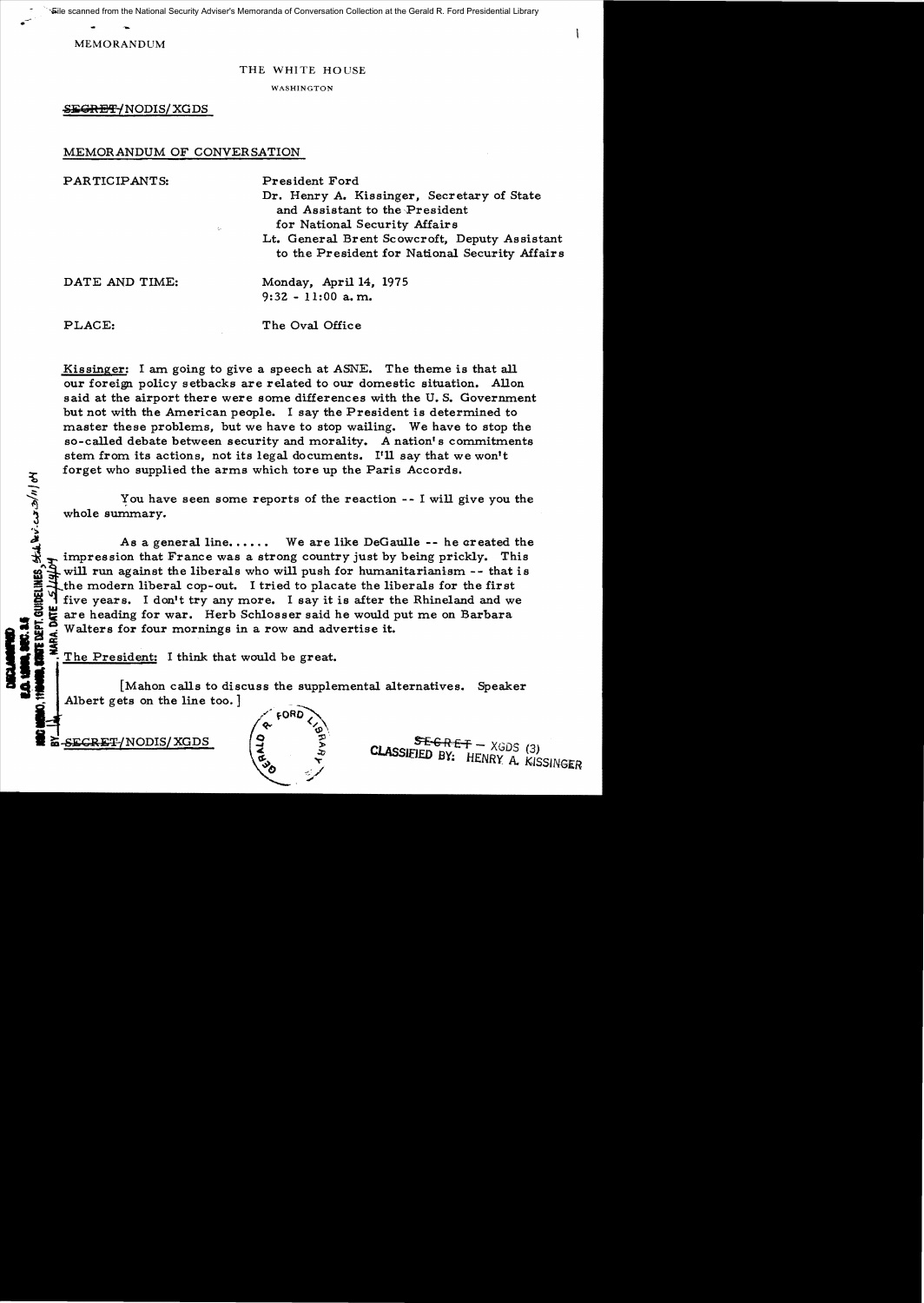File scanned from the National Security Adviser's Memoranda of Conversation Collection at the Gerald R. Ford Presidential Library

MEMORANDUM

..

**Ho** / n/c

,~

=-

## THE WHITE HOUSE

WASHINGTON

S<del>EGRET/</del>NODIS/XGDS

# MEMORANDUM OF CONVERSATION

| PARTICIPANTS:<br>$\zeta_{\mathcal{P}}$ | President Ford<br>Dr. Henry A. Kissinger, Secretary of State<br>and Assistant to the President<br>for National Security Affairs<br>Lt. General Brent Scowcroft, Deputy Assistant<br>to the President for National Security Affairs |
|----------------------------------------|------------------------------------------------------------------------------------------------------------------------------------------------------------------------------------------------------------------------------------|
| DATE AND TIME:                         | Monday, April 14, 1975<br>$9:32 - 11:00$ a, m.                                                                                                                                                                                     |
| PLACE:                                 | The Oval Office                                                                                                                                                                                                                    |

Kissinger: I am going to give a speech at ASNE. The theme is that all our foreign policy setbacks are related to our domestic situation. Allon said at the airport there were some differences with the U. S. Government but not with the American people. I say the President is determined to master these problems, but we have to stop wailing. We have to stop the so-called debate between security and morality. A nation's commitments stem from its actions, not its legal documents. I'll say that we won't forget who supplied the arms which tore up the Paris Accords.

You have seen some reports of the reaction  $- - I$  will give you the whole summary.

As a general line...... We are like DeGaulle -- he created the impression that France was a strong country just by being prickly. This will run against the liberals who will push for humanitarianism -- that is the modern liberal cop-out. I tried to placate the liberals for the first five years. I don't try any more. I say it is after the Rhineland and we **NEC. 2.5**<br>E dept. Guideline!<br>Ara. Date \_*5}14*,  $\overline{\bullet}$  are heading for war. Herb Schlosser said he would put me on Barbara<br>a Walters for four mornings in a row and advertise it.<br>a  $\leq$ Walters for four mornings in a row and advertise it.

The President: I think that would be great.<br>[Mahon calls to discuss the supple<br>Albert gets on the line too.] [Mahon calls to discuss the supplemental alternatives. Speaker Albert gets on the line too.]



 $SECRET/NODIS/XGDS$   $\begin{cases} 9 \quad 3 \quad 5F-GRF+ - XGDS \quad (3) \end{cases}$ **CLASSIFIED BY: HENRY A KISSINGER** 

Ł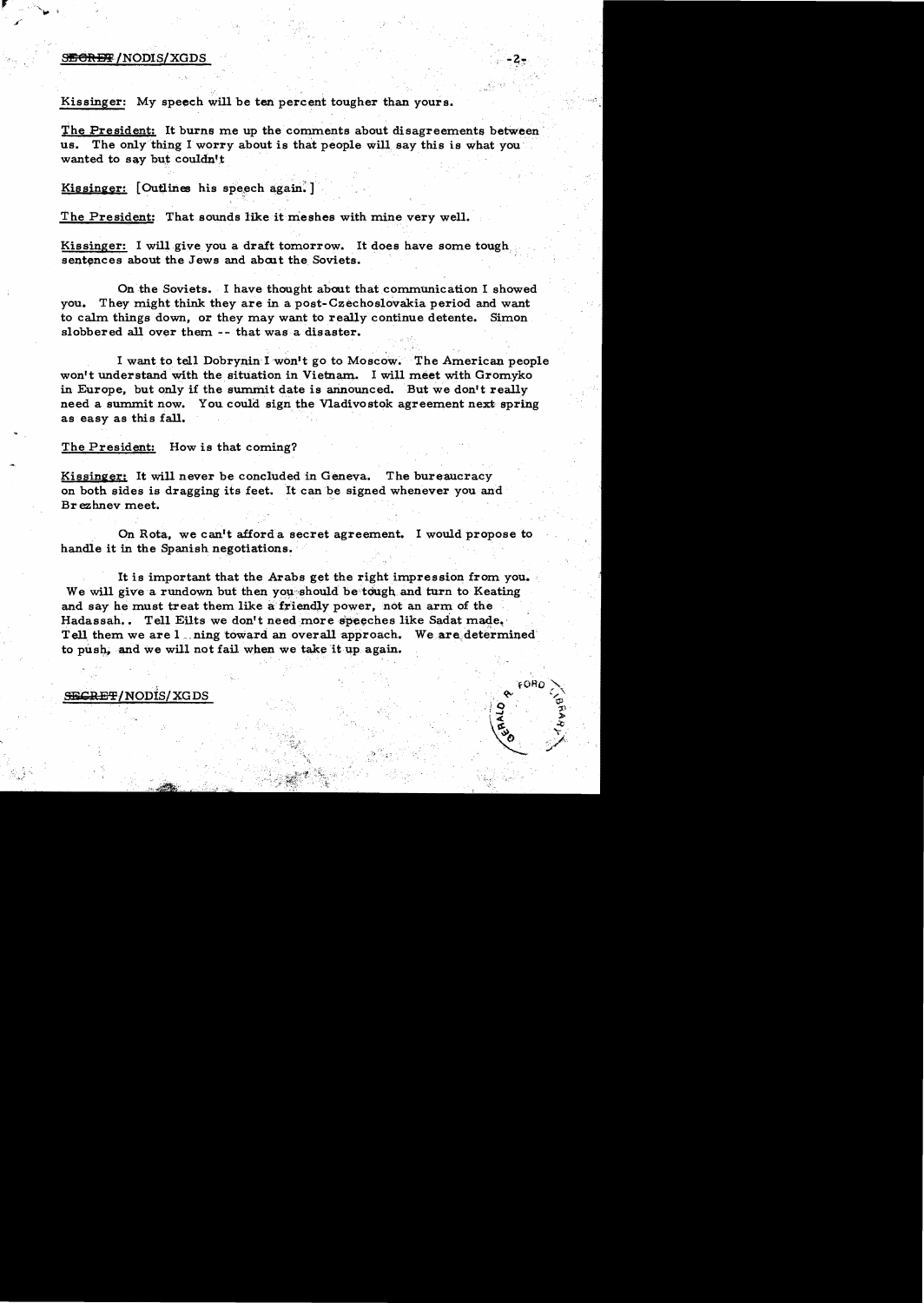#### S<del>ECRET</del>/NODIS/XGDS

Kissinger: My speech will be ten percent tougher than yours.

The President: It burns me up the comments about disagreements between us. The only thing I worry about is that people will say this is what you wanted to say but couldn't

Kissinger: [Outlines his speech again.]

The President: That sounds like it meshes with mine very well.

Kissinger: I will give you a draft tomorrow. It does have some tough sentences about the Jews and about the Soviets.

On the Soviets•. I have thought about that.communication I showed you. They might think they are in a post-Czechoslovakia period and want to calm things down, or they may want to really continue detente. Simon slobbered all OVer them -- that was a disaster.

I want to tell Dobrynin I won't go to Moscow. The American people won't understand with the situation in Vietnam. I will meet with Gromyko in Europe, but only if the summit date is announced. But we don't really need a summit now. You could sign the Vladivostok agreement next spring as easy as this fall.

## The President: How is that coming?

Kissinger; It will never be concluded in Geneva. The bureaucracy on both sides is dragging its feet. It can be signed whenever you and Br ezhnev meet.

On Rota, we canttafforda secret agreement. I would propose to handle it in the Spanish negotiations.

It is important that the Arabs get the right impression from you. We will give a rundown but then you should be tough and turn to Keating. and say he must treat them like a friendly power, not an arm of the Hadassah.. Tell Eilts we don't need more speeches like Sadat made. Tell them we are  $1$  . ning toward an overall approach. We are determined to push, and we will not fail when we take it up again.

## SECRET/NODIS/XGDS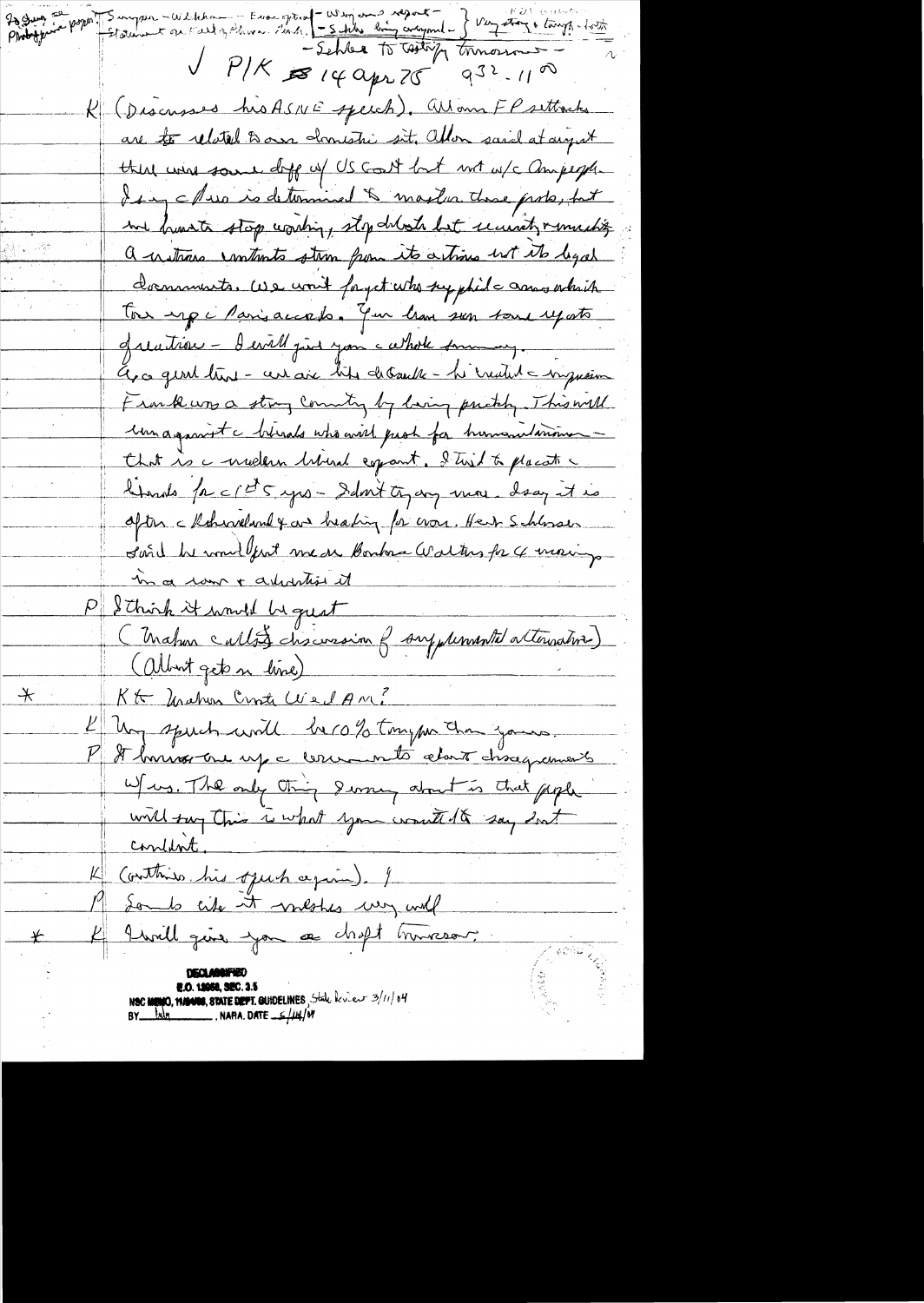20 Juin Jepper January - Welcham - Europein - Winjons negation - J Viz Auge lange - 10th  $V$   $P/K$   $\approx$  14 apr 75  $9^{32}$ -11 a R (Discusses his ASNE speech). Wom FP settache are to related to own domestic sit, allow said at any at there were some doff of US Gost but not w/c ampegh I say a Pues is determined & maxler these prote, but me france stop conting, stop deloch but university much's a instrume contracts strom from its actions int its legal dominants. We won't forget who syphile amountain Tou up i Parisaccado. You have sen some uposto quation - I evill just you cathole surmon, Els ce gent trent - cert aix bits debaute - he credit a myssim Frank was a strong country by laving prickly. This will un against c birads who will people for humanitariousthat is a meetern brind copart. I trist to placate a hands faccits yes-Sant tyang more drag it is after charneland & and heating for non. Here Schlosser Land he would fint me are Bomborn Walters for 4 morings-In a law + adulation it P & Chirch it would be great (Mahmeultz) chicasion f supplemental attenuative) (albert gets n line) Kt Unahon Croste Wed AM?  $\hspace{0.1cm} \star$ I hay speech will be rold tryper than yours. It bonnos one up a corremento about chacquanais W/ws. The only thing derney about is that people will say this is what you would be say fort <u>condent</u>. K (outhing his open again). I 19 Some city it meshes usy will 4 Iwill give you as choft himseour. NOC MUNIC, NAMES, STATE DEPT. GUIDELINES, State levier 3/11/04